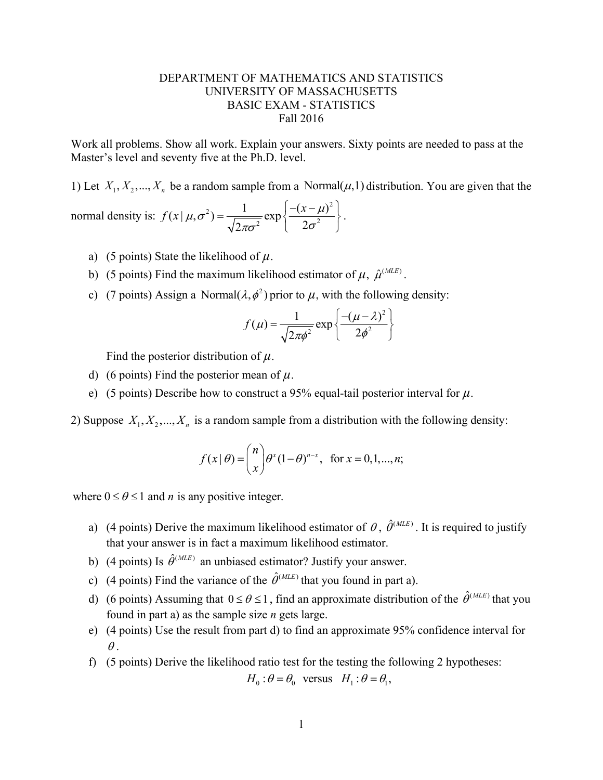## DEPARTMENT OF MATHEMATICS AND STATISTICS UNIVERSITY OF MASSACHUSETTS BASIC EXAM - STATISTICS Fall 2016

Work all problems. Show all work. Explain your answers. Sixty points are needed to pass at the Master's level and seventy five at the Ph.D. level.

1) Let  $X_1, X_2, ..., X_n$  be a random sample from a Normal $(\mu, 1)$  distribution. You are given that the normal density is:  $2\lambda$   $1 \cos \left( - (x - \mu)^2 \right)$  $(x | \mu, \sigma^2) = \frac{1}{\sqrt{2\pi\sigma^2}} \exp \left\{ \frac{-(x-\mu)}{2\sigma^2} \right\}$  $2\pi\sigma^2$  <sup>1</sup>  $\left($  2  $(\mu, \sigma^2) = \frac{1}{\sqrt{2\pi}} \exp\left\{\frac{-(x-\mu)^2}{2\sigma^2}\right\}$  $f(x | \mu, \sigma^2) = \frac{1}{\sqrt{2\pi\sigma^2}} \exp\left\{\frac{-(x-\mu)^2}{2\sigma^2}\right\}.$ 

- a) (5 points) State the likelihood of  $\mu$ .
- b) (5 points) Find the maximum likelihood estimator of  $\mu$ ,  $\hat{\mu}^{(MLE)}$ .
- c) (7 points) Assign a Normal( $\lambda$ ,  $\phi^2$ ) prior to  $\mu$ , with the following density:

$$
f(\mu) = \frac{1}{\sqrt{2\pi\phi^2}} \exp\left\{\frac{-\left(\mu - \lambda\right)^2}{2\phi^2}\right\}
$$

Find the posterior distribution of *µ*.

- d) (6 points) Find the posterior mean of *µ*.
- e) (5 points) Describe how to construct a 95% equal-tail posterior interval for *µ*.

2) Suppose  $X_1, X_2, ..., X_n$  is a random sample from a distribution with the following density:

$$
f(x | \theta) = {n \choose x} \theta^x (1 - \theta)^{n-x}, \text{ for } x = 0, 1, ..., n;
$$

where  $0 \le \theta \le 1$  and *n* is any positive integer.

- a) (4 points) Derive the maximum likelihood estimator of  $\theta$ ,  $\hat{\theta}^{(MLE)}$ . It is required to justify that your answer is in fact a maximum likelihood estimator.
- b) (4 points) Is  $\hat{\theta}^{(MLE)}$  an unbiased estimator? Justify your answer.
- c) (4 points) Find the variance of the  $\hat{\theta}^{(MLE)}$  that you found in part a).
- d) (6 points) Assuming that  $0 \le \theta \le 1$ , find an approximate distribution of the  $\hat{\theta}^{(MLE)}$  that you found in part a) as the sample size *n* gets large.
- e) (4 points) Use the result from part d) to find an approximate 95% confidence interval for  $\theta$ .
- f) (5 points) Derive the likelihood ratio test for the testing the following 2 hypotheses:

$$
H_0: \theta = \theta_0 \quad \text{versus} \quad H_1: \theta = \theta_1,
$$